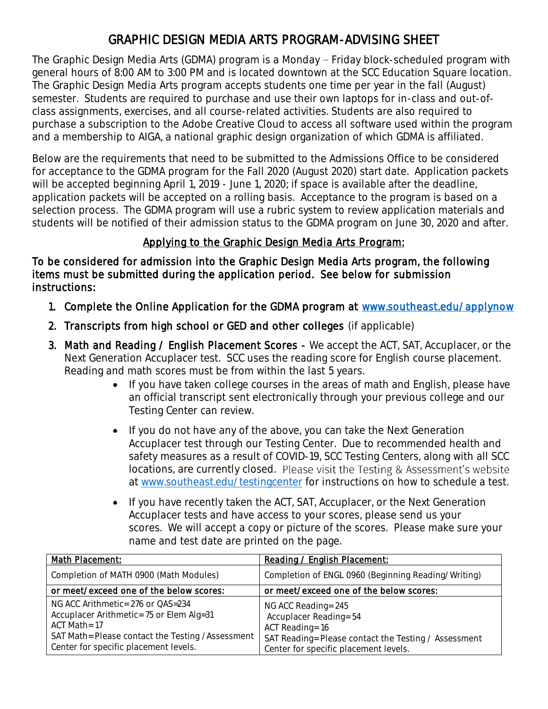# GRAPHIC DESIGN MEDIA ARTS PROGRAM-ADVISING SHEET

The Graphic Design Media Arts (GDMA) program is a Monday  $-$  Friday block-scheduled program with general hours of 8:00 AM to 3:00 PM and is located downtown at the SCC Education Square location. The Graphic Design Media Arts program accepts students one time per year in the fall (August) semester. Students are required to purchase and use their own laptops for in-class and out-ofclass assignments, exercises, and all course-related activities. Students are also required to purchase a subscription to the Adobe Creative Cloud to access all software used within the program and a membership to AIGA, a national graphic design organization of which GDMA is affiliated.

Below are the requirements that need to be submitted to the Admissions Office to be considered for acceptance to the GDMA program for the Fall 2020 (August 2020) start date. Application packets will be accepted beginning April 1, 2019 - June 1, 2020; if space is available after the deadline, application packets will be accepted on a rolling basis. Acceptance to the program is based on a selection process. The GDMA program will use a rubric system to review application materials and students will be notified of their admission status to the GDMA program on June 30, 2020 and after.

## Applying to the Graphic Design Media Arts Program:

To be considered for admission into the Graphic Design Media Arts program, the following items must be submitted during the application period. See below for submission instructions:

- 1. Complete the Online Application for the GDMA program at [www.southeast.edu/applynow](http://www.southeast.edu/applynow)
- 2. Transcripts from high school or GED and other colleges (if applicable)
- 3. Math and Reading / English Placement Scores We accept the ACT, SAT, Accuplacer, or the Next Generation Accuplacer test. SCC uses the reading score for English course placement. Reading and math scores must be from within the last 5 years.
	- If you have taken college courses in the areas of math and English, please have an official transcript sent electronically through your previous college and our Testing Center can review.
	- If you do not have any of the above, you can take the Next Generation Accuplacer test through our Testing Center. Due to recommended health and safety measures as a result of COVID-19, SCC Testing Centers, along with all SCC locations, are currently closed. Please visit the Testing & Assessment's website at [www.southeast.edu/testingcenter](http://www.southeast.edu/testingcenter) for instructions on how to schedule a test.
	- If you have recently taken the ACT, SAT, Accuplacer, or the Next Generation Accuplacer tests and have access to your scores, please send us your scores. We will accept a copy or picture of the scores. Please make sure your name and test date are printed on the page.

| Math Placement:                                                                                                                                                                               | Reading / English Placement:                                                                                                                                      |
|-----------------------------------------------------------------------------------------------------------------------------------------------------------------------------------------------|-------------------------------------------------------------------------------------------------------------------------------------------------------------------|
| Completion of MATH 0900 (Math Modules)                                                                                                                                                        | Completion of ENGL 0960 (Beginning Reading/Writing)                                                                                                               |
| or meet/exceed one of the below scores:                                                                                                                                                       | or meet/exceed one of the below scores:                                                                                                                           |
| NG ACC Arithmetic= 276 or QAS=234<br>Accuplacer Arithmetic= 75 or Elem Alg=31<br>$ACT Math = 17$<br>SAT Math= Please contact the Testing /Assessment<br>Center for specific placement levels. | NG ACC Reading= 245<br>Accuplacer Reading= 54<br>ACT Reading= 16<br>SAT Reading= Please contact the Testing / Assessment<br>Center for specific placement levels. |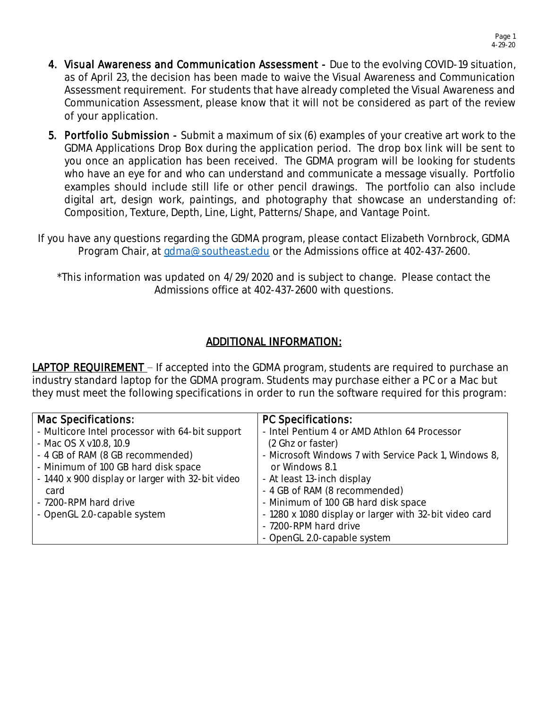- 4. Visual Awareness and Communication Assessment Due to the evolving COVID-19 situation, as of April 23, the decision has been made to waive the Visual Awareness and Communication Assessment requirement. For students that have already completed the Visual Awareness and Communication Assessment, please know that it will not be considered as part of the review of your application.
- 5. Portfolio Submission Submit a maximum of six (6) examples of your creative art work to the GDMA Applications Drop Box during the application period. The drop box link will be sent to you once an application has been received. The GDMA program will be looking for students who have an eye for and who can understand and communicate a message visually. Portfolio examples should include still life or other pencil drawings. The portfolio can also include digital art, design work, paintings, and photography that showcase an understanding of: Composition, Texture, Depth, Line, Light, Patterns/Shape, and Vantage Point.
- If you have any questions regarding the GDMA program, please contact Elizabeth Vornbrock, GDMA Program Chair, at [gdma@southeast.edu](mailto:gdma@southeast.edu) or the Admissions office at 402-437-2600.

\*This information was updated on 4/29/2020 and is subject to change. Please contact the Admissions office at 402-437-2600 with questions.

## ADDITIONAL INFORMATION:

**LAPTOP REQUIREMENT** – If accepted into the GDMA program, students are required to purchase an industry standard laptop for the GDMA program. Students may purchase either a PC or a Mac but they must meet the following specifications in order to run the software required for this program:

| Mac Specifications:                              | PC Specifications:                                     |
|--------------------------------------------------|--------------------------------------------------------|
| - Multicore Intel processor with 64-bit support  | - Intel Pentium 4 or AMD Athlon 64 Processor           |
| - Mac OS X v10.8, 10.9                           | (2 Ghz or faster)                                      |
| - 4 GB of RAM (8 GB recommended)                 | - Microsoft Windows 7 with Service Pack 1, Windows 8,  |
| - Minimum of 100 GB hard disk space              | or Windows 8.1                                         |
| - 1440 x 900 display or larger with 32-bit video | - At least 13-inch display                             |
| card                                             | - 4 GB of RAM (8 recommended)                          |
| - 7200-RPM hard drive                            | - Minimum of 100 GB hard disk space                    |
| - OpenGL 2.0-capable system                      | - 1280 x 1080 display or larger with 32-bit video card |
|                                                  | - 7200-RPM hard drive                                  |
|                                                  | - OpenGL 2.0-capable system                            |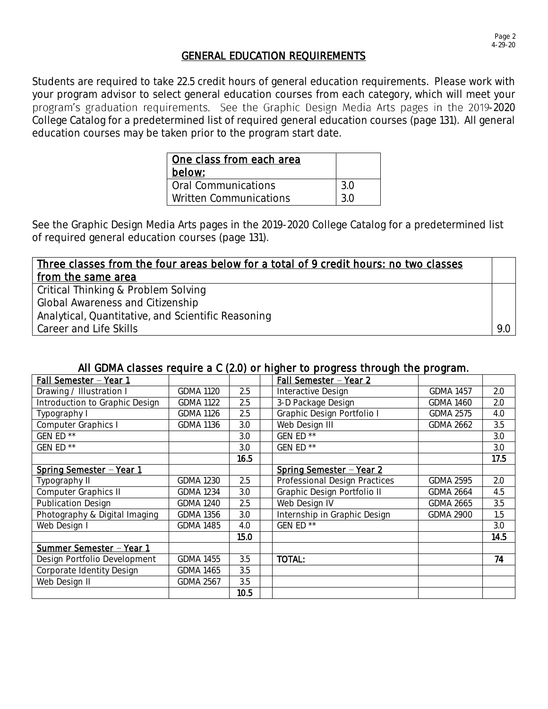### GENERAL EDUCATION REQUIREMENTS

Students are required to take 22.5 credit hours of general education requirements. Please work with your program advisor to select general education courses from each category, which will meet your program's graduation requirements. See the Graphic Design Media Arts pages in the 2019-2020 College Catalog for a predetermined list of required general education courses (page 131). All general education courses may be taken prior to the program start date.

| l One class from each area<br>below: |     |
|--------------------------------------|-----|
| <b>Oral Communications</b>           | 3.0 |
| Written Communications               | 3 0 |

See the Graphic Design Media Arts pages in the 2019-2020 College Catalog for a predetermined list of required general education courses (page 131).

| Three classes from the four areas below for a total of 9 credit hours: no two classes |     |
|---------------------------------------------------------------------------------------|-----|
| from the same area                                                                    |     |
| Critical Thinking & Problem Solving                                                   |     |
| <b>Global Awareness and Citizenship</b>                                               |     |
| Analytical, Quantitative, and Scientific Reasoning                                    |     |
| Career and Life Skills                                                                | 9.0 |

#### All GDMA classes require a C (2.0) or higher to progress through the program.

| Fall Semester - Year 1         |                  |      | <u> Fall Semester - Year 2</u> |                  |      |
|--------------------------------|------------------|------|--------------------------------|------------------|------|
| Drawing / Illustration I       | <b>GDMA 1120</b> | 2.5  | Interactive Design             | <b>GDMA 1457</b> | 2.0  |
| Introduction to Graphic Design | <b>GDMA 1122</b> | 2.5  | 3-D Package Design             | <b>GDMA 1460</b> | 2.0  |
| Typography I                   | <b>GDMA 1126</b> | 2.5  | Graphic Design Portfolio I     | <b>GDMA 2575</b> | 4.0  |
| Computer Graphics I            | <b>GDMA 1136</b> | 3.0  | Web Design III                 | <b>GDMA 2662</b> | 3.5  |
| GEN ED **                      |                  | 3.0  | GEN $ED$ <sup>**</sup>         |                  | 3.0  |
| GEN ED **                      |                  | 3.0  | GEN ED **                      |                  | 3.0  |
|                                |                  | 16.5 |                                |                  | 17.5 |
| Spring Semester - Year 1       |                  |      | Spring Semester - Year 2       |                  |      |
| Typography II                  | <b>GDMA 1230</b> | 2.5  | Professional Design Practices  | <b>GDMA 2595</b> | 2.0  |
| Computer Graphics II           | <b>GDMA 1234</b> | 3.0  | Graphic Design Portfolio II    | <b>GDMA 2664</b> | 4.5  |
| Publication Design             | <b>GDMA 1240</b> | 2.5  | Web Design IV                  | GDMA 2665        | 3.5  |
| Photography & Digital Imaging  | <b>GDMA 1356</b> | 3.0  | Internship in Graphic Design   | <b>GDMA 2900</b> | 1.5  |
| Web Design I                   | <b>GDMA 1485</b> | 4.0  | GEN ED **                      |                  | 3.0  |
|                                |                  | 15.0 |                                |                  | 14.5 |
| Summer Semester - Year 1       |                  |      |                                |                  |      |
| Design Portfolio Development   | <b>GDMA 1455</b> | 3.5  | TOTAL:                         |                  | 74   |
| Corporate Identity Design      | <b>GDMA 1465</b> | 3.5  |                                |                  |      |
| Web Design II                  | <b>GDMA 2567</b> | 3.5  |                                |                  |      |
|                                |                  | 10.5 |                                |                  |      |